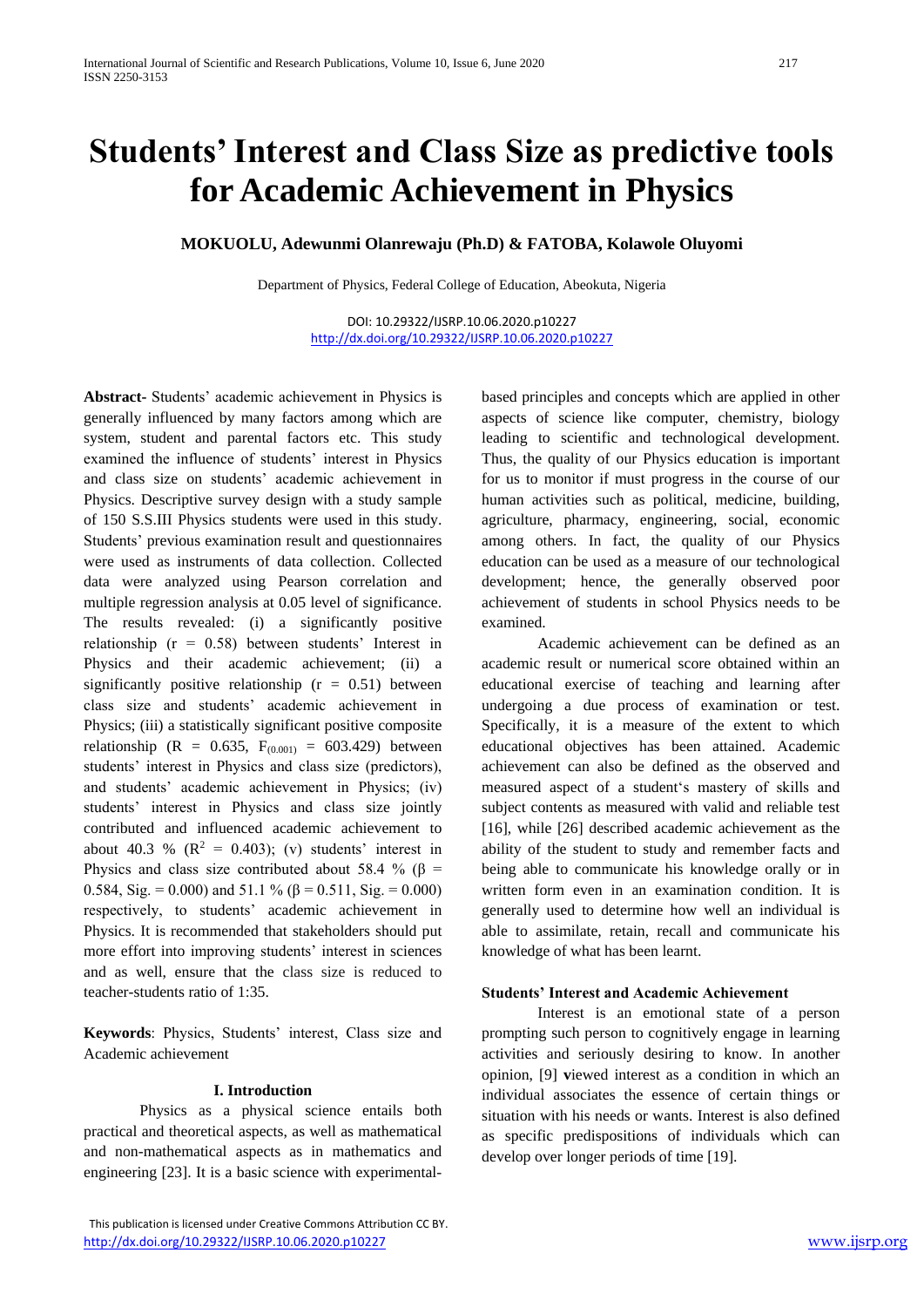# **Students' Interest and Class Size as predictive tools for Academic Achievement in Physics**

**MOKUOLU, Adewunmi Olanrewaju (Ph.D) & FATOBA, Kolawole Oluyomi**

Department of Physics, Federal College of Education, Abeokuta, Nigeria

DOI: 10.29322/IJSRP.10.06.2020.p10227 <http://dx.doi.org/10.29322/IJSRP.10.06.2020.p10227>

**Abstract-** Students' academic achievement in Physics is generally influenced by many factors among which are system, student and parental factors etc. This study examined the influence of students' interest in Physics and class size on students' academic achievement in Physics. Descriptive survey design with a study sample of 150 S.S.III Physics students were used in this study. Students' previous examination result and questionnaires were used as instruments of data collection. Collected data were analyzed using Pearson correlation and multiple regression analysis at 0.05 level of significance. The results revealed: (i) a significantly positive relationship ( $r = 0.58$ ) between students' Interest in Physics and their academic achievement; (ii) a significantly positive relationship  $(r = 0.51)$  between class size and students' academic achievement in Physics; (iii) a statistically significant positive composite relationship (R = 0.635,  $F_{(0.001)} = 603.429$ ) between students' interest in Physics and class size (predictors), and students' academic achievement in Physics; (iv) students' interest in Physics and class size jointly contributed and influenced academic achievement to about 40.3 %  $(R^2 = 0.403)$ ; (v) students' interest in Physics and class size contributed about 58.4 % ( $\beta$  = 0.584, Sig. = 0.000) and 51.1 % ( $\beta$  = 0.511, Sig. = 0.000) respectively, to students' academic achievement in Physics. It is recommended that stakeholders should put more effort into improving students' interest in sciences and as well, ensure that the class size is reduced to teacher-students ratio of 1:35.

**Keywords**: Physics, Students' interest, Class size and Academic achievement

#### **I. Introduction**

Physics as a physical science entails both practical and theoretical aspects, as well as mathematical and non-mathematical aspects as in mathematics and engineering [23]. It is a basic science with experimentalbased principles and concepts which are applied in other aspects of science like computer, chemistry, biology leading to scientific and technological development. Thus, the quality of our Physics education is important for us to monitor if must progress in the course of our human activities such as political, medicine, building, agriculture, pharmacy, engineering, social, economic among others. In fact, the quality of our Physics education can be used as a measure of our technological development; hence, the generally observed poor achievement of students in school Physics needs to be examined.

Academic achievement can be defined as an academic result or numerical score obtained within an educational exercise of teaching and learning after undergoing a due process of examination or test. Specifically, it is a measure of the extent to which educational objectives has been attained. Academic achievement can also be defined as the observed and measured aspect of a student's mastery of skills and subject contents as measured with valid and reliable test [16], while [26] described academic achievement as the ability of the student to study and remember facts and being able to communicate his knowledge orally or in written form even in an examination condition. It is generally used to determine how well an individual is able to assimilate, retain, recall and communicate his knowledge of what has been learnt.

## **Students' Interest and Academic Achievement**

Interest is an emotional state of a person prompting such person to cognitively engage in learning activities and seriously desiring to know. In another opinion, [9] **v**iewed interest as a condition in which an individual associates the essence of certain things or situation with his needs or wants. Interest is also defined as specific predispositions of individuals which can develop over longer periods of time [19].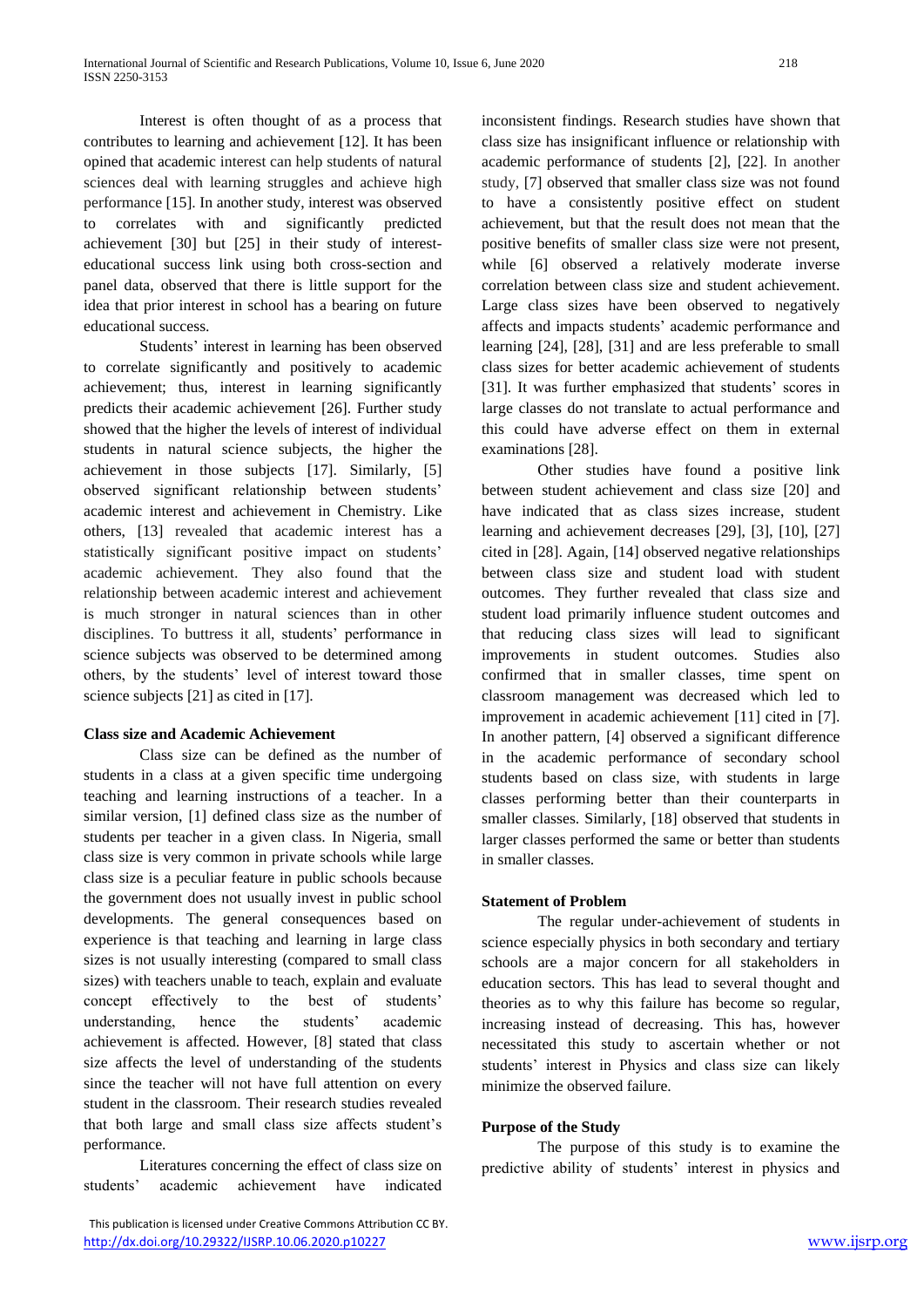Interest is often thought of as a process that contributes to learning and achievement [12]. It has been opined that academic interest can help students of natural sciences deal with learning struggles and achieve high performance [15]. In another study, interest was observed to correlates with and significantly predicted achievement [30] but [25] in their study of interesteducational success link using both cross-section and panel data, observed that there is little support for the idea that prior interest in school has a bearing on future educational success.

Students' interest in learning has been observed to correlate significantly and positively to academic achievement; thus, interest in learning significantly predicts their academic achievement [26]. Further study showed that the higher the levels of interest of individual students in natural science subjects, the higher the achievement in those subjects [17]. Similarly, [5] observed significant relationship between students' academic interest and achievement in Chemistry. Like others, [13] revealed that academic interest has a statistically significant positive impact on students' academic achievement. They also found that the relationship between academic interest and achievement is much stronger in natural sciences than in other disciplines. To buttress it all, students' performance in science subjects was observed to be determined among others, by the students' level of interest toward those science subjects [21] as cited in [17].

# **Class size and Academic Achievement**

Class size can be defined as the number of students in a class at a given specific time undergoing teaching and learning instructions of a teacher. In a similar version, [1] defined class size as the number of students per teacher in a given class. In Nigeria, small class size is very common in private schools while large class size is a peculiar feature in public schools because the government does not usually invest in public school developments. The general consequences based on experience is that teaching and learning in large class sizes is not usually interesting (compared to small class sizes) with teachers unable to teach, explain and evaluate concept effectively to the best of students' understanding, hence the students' academic achievement is affected. However, [8] stated that class size affects the level of understanding of the students since the teacher will not have full attention on every student in the classroom. Their research studies revealed that both large and small class size affects student's performance.

Literatures concerning the effect of class size on students' academic achievement have indicated

 This publication is licensed under Creative Commons Attribution CC BY. <http://dx.doi.org/10.29322/IJSRP.10.06.2020.p10227> [www.ijsrp.org](http://ijsrp.org/)

inconsistent findings. Research studies have shown that class size has insignificant influence or relationship with academic performance of students [2], [22]. In another study, [7] observed that smaller class size was not found to have a consistently positive effect on student achievement, but that the result does not mean that the positive benefits of smaller class size were not present, while [6] observed a relatively moderate inverse correlation between class size and student achievement. Large class sizes have been observed to negatively affects and impacts students' academic performance and learning [24], [28], [31] and are less preferable to small class sizes for better academic achievement of students [31]. It was further emphasized that students' scores in large classes do not translate to actual performance and this could have adverse effect on them in external examinations [28].

Other studies have found a positive link between student achievement and class size [20] and have indicated that as class sizes increase, student learning and achievement decreases [29], [3], [10], [27] cited in [28]. Again, [14] observed negative relationships between class size and student load with student outcomes. They further revealed that class size and student load primarily influence student outcomes and that reducing class sizes will lead to significant improvements in student outcomes. Studies also confirmed that in smaller classes, time spent on classroom management was decreased which led to improvement in academic achievement [11] cited in [7]. In another pattern, [4] observed a significant difference in the academic performance of secondary school students based on class size, with students in large classes performing better than their counterparts in smaller classes. Similarly, [18] observed that students in larger classes performed the same or better than students in smaller classes.

#### **Statement of Problem**

The regular under-achievement of students in science especially physics in both secondary and tertiary schools are a major concern for all stakeholders in education sectors. This has lead to several thought and theories as to why this failure has become so regular, increasing instead of decreasing. This has, however necessitated this study to ascertain whether or not students' interest in Physics and class size can likely minimize the observed failure.

# **Purpose of the Study**

The purpose of this study is to examine the predictive ability of students' interest in physics and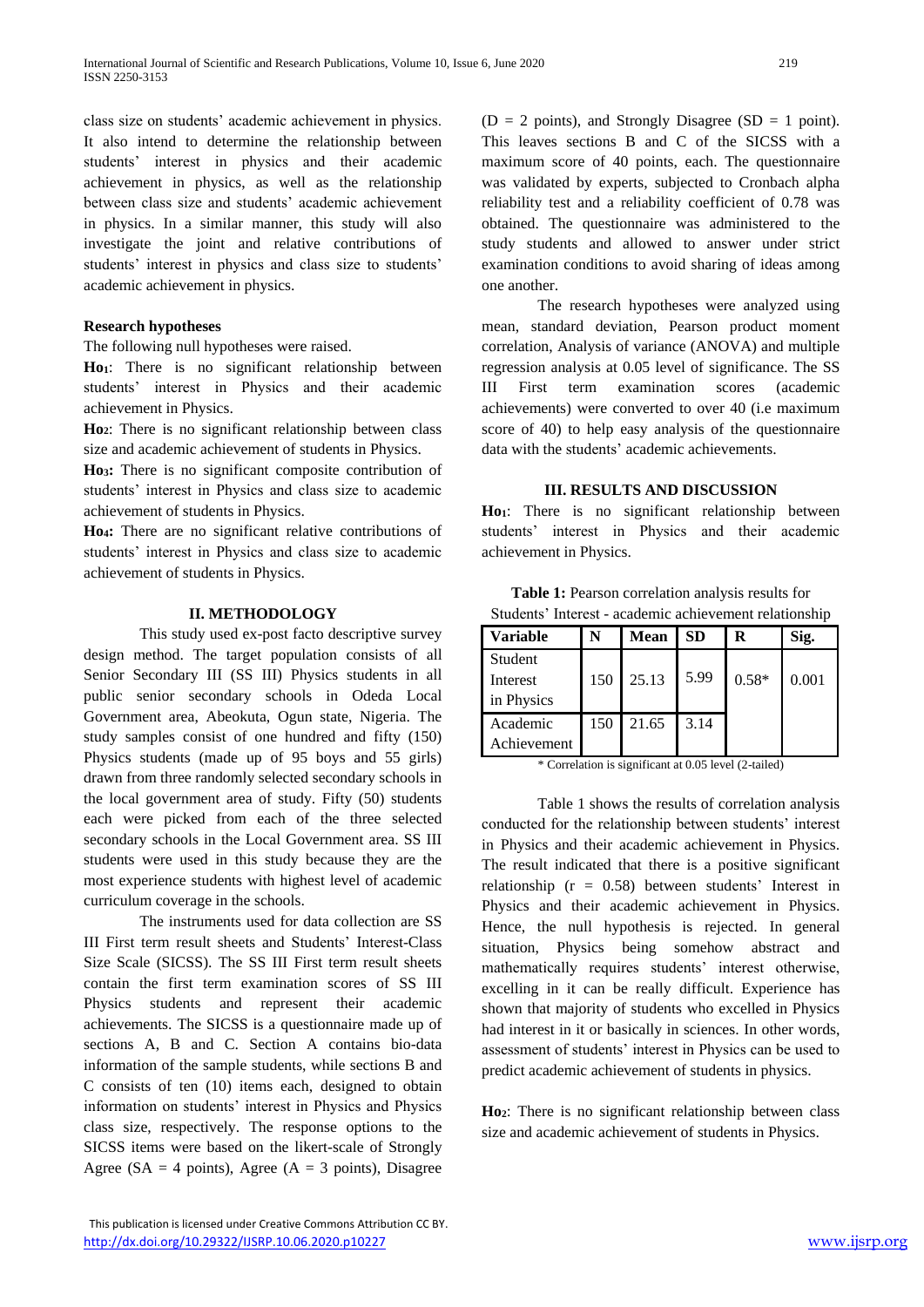class size on students' academic achievement in physics. It also intend to determine the relationship between students' interest in physics and their academic achievement in physics, as well as the relationship between class size and students' academic achievement in physics. In a similar manner, this study will also investigate the joint and relative contributions of students' interest in physics and class size to students' academic achievement in physics.

# **Research hypotheses**

The following null hypotheses were raised.

**Ho1**: There is no significant relationship between students' interest in Physics and their academic achievement in Physics.

**Ho2**: There is no significant relationship between class size and academic achievement of students in Physics.

**Ho3:** There is no significant composite contribution of students' interest in Physics and class size to academic achievement of students in Physics.

**Ho4:** There are no significant relative contributions of students' interest in Physics and class size to academic achievement of students in Physics.

#### **II. METHODOLOGY**

This study used ex-post facto descriptive survey design method. The target population consists of all Senior Secondary III (SS III) Physics students in all public senior secondary schools in Odeda Local Government area, Abeokuta, Ogun state, Nigeria. The study samples consist of one hundred and fifty (150) Physics students (made up of 95 boys and 55 girls) drawn from three randomly selected secondary schools in the local government area of study. Fifty (50) students each were picked from each of the three selected secondary schools in the Local Government area. SS III students were used in this study because they are the most experience students with highest level of academic curriculum coverage in the schools.

The instruments used for data collection are SS III First term result sheets and Students' Interest-Class Size Scale (SICSS). The SS III First term result sheets contain the first term examination scores of SS III Physics students and represent their academic achievements. The SICSS is a questionnaire made up of sections A, B and C. Section A contains bio-data information of the sample students, while sections B and C consists of ten (10) items each, designed to obtain information on students' interest in Physics and Physics class size, respectively. The response options to the SICSS items were based on the likert-scale of Strongly Agree ( $SA = 4$  points), Agree ( $A = 3$  points), Disagree

 $(D = 2 \text{ points})$ , and Strongly Disagree (SD = 1 point). This leaves sections B and C of the SICSS with a maximum score of 40 points, each. The questionnaire was validated by experts, subjected to Cronbach alpha reliability test and a reliability coefficient of 0.78 was obtained. The questionnaire was administered to the study students and allowed to answer under strict examination conditions to avoid sharing of ideas among one another.

The research hypotheses were analyzed using mean, standard deviation, Pearson product moment correlation, Analysis of variance (ANOVA) and multiple regression analysis at 0.05 level of significance. The SS III First term examination scores (academic achievements) were converted to over 40 (i.e maximum score of 40) to help easy analysis of the questionnaire data with the students' academic achievements.

## **III. RESULTS AND DISCUSSION**

**Ho1**: There is no significant relationship between students' interest in Physics and their academic achievement in Physics.

**Table 1:** Pearson correlation analysis results for Students' Interest - academic achievement relationship

| <b>Variable</b> |     | Mean  | <b>SD</b> | R       | Sig.  |
|-----------------|-----|-------|-----------|---------|-------|
| Student         |     |       |           |         |       |
| Interest        | 150 | 25.13 | 5.99      | $0.58*$ | 0.001 |
| in Physics      |     |       |           |         |       |
| Academic        | 150 | 21.65 | 3.14      |         |       |
| Achievement     |     |       |           |         |       |

\* Correlation is significant at 0.05 level (2-tailed)

Table 1 shows the results of correlation analysis conducted for the relationship between students' interest in Physics and their academic achievement in Physics. The result indicated that there is a positive significant relationship (r = 0.58) between students' Interest in Physics and their academic achievement in Physics. Hence, the null hypothesis is rejected. In general situation, Physics being somehow abstract and mathematically requires students' interest otherwise, excelling in it can be really difficult. Experience has shown that majority of students who excelled in Physics had interest in it or basically in sciences. In other words, assessment of students' interest in Physics can be used to predict academic achievement of students in physics.

**Ho2**: There is no significant relationship between class size and academic achievement of students in Physics.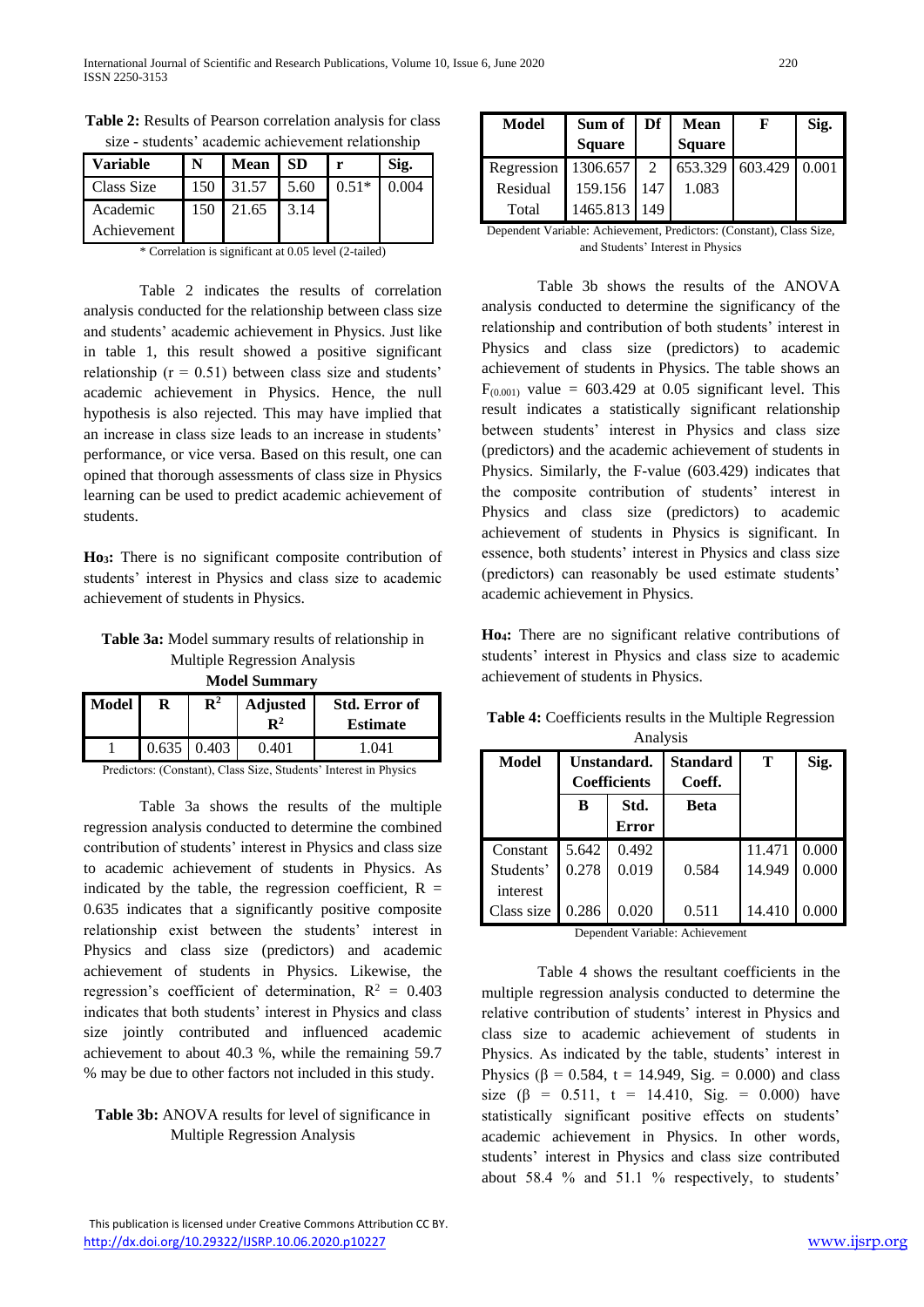| Variable          | Mean   SD        |      |         | Sig.  |
|-------------------|------------------|------|---------|-------|
| <b>Class Size</b> | 150 31.57 5.60   |      | $0.51*$ | 0.004 |
| Academic          | $150 \mid 21.65$ | 3.14 |         |       |
| Achievement       |                  |      |         |       |

**Table 2:** Results of Pearson correlation analysis for class size - students' academic achievement relationship

\* Correlation is significant at 0.05 level (2-tailed)

Table 2 indicates the results of correlation analysis conducted for the relationship between class size and students' academic achievement in Physics. Just like in table 1, this result showed a positive significant relationship ( $r = 0.51$ ) between class size and students' academic achievement in Physics. Hence, the null hypothesis is also rejected. This may have implied that an increase in class size leads to an increase in students' performance, or vice versa. Based on this result, one can opined that thorough assessments of class size in Physics learning can be used to predict academic achievement of students.

**Ho3:** There is no significant composite contribution of students' interest in Physics and class size to academic achievement of students in Physics.

**Table 3a:** Model summary results of relationship in Multiple Regression Analysis **Model Summary**

| <b>IVIUULI DUIIIIIIIII</b> |                    |                |                                   |                                         |  |  |
|----------------------------|--------------------|----------------|-----------------------------------|-----------------------------------------|--|--|
| <b>Model</b>               |                    | $\mathbf{R}^2$ | <b>Adjusted</b><br>$\mathbf{R}^2$ | <b>Std. Error of</b><br><b>Estimate</b> |  |  |
|                            | $0.635 \mid 0.403$ |                | 0.401                             | 1.041                                   |  |  |

Predictors: (Constant), Class Size, Students' Interest in Physics

Table 3a shows the results of the multiple regression analysis conducted to determine the combined contribution of students' interest in Physics and class size to academic achievement of students in Physics. As indicated by the table, the regression coefficient,  $R =$ 0.635 indicates that a significantly positive composite relationship exist between the students' interest in Physics and class size (predictors) and academic achievement of students in Physics. Likewise, the regression's coefficient of determination,  $R^2 = 0.403$ indicates that both students' interest in Physics and class size jointly contributed and influenced academic achievement to about 40.3 %, while the remaining 59.7 % may be due to other factors not included in this study.

# **Table 3b:** ANOVA results for level of significance in Multiple Regression Analysis

| <b>Model</b>        | Sum of        | Df            | <b>Mean</b>     | F | Sig.  |
|---------------------|---------------|---------------|-----------------|---|-------|
|                     | <b>Square</b> |               | <b>Square</b>   |   |       |
| Regression 1306.657 |               | $\mathcal{L}$ | 653.329 603.429 |   | 0.001 |
| Residual            | 159.156       | 147           | 1.083           |   |       |
| Total               | 1465.813 149  |               |                 |   |       |

Dependent Variable: Achievement, Predictors: (Constant), Class Size, and Students' Interest in Physics

Table 3b shows the results of the ANOVA analysis conducted to determine the significancy of the relationship and contribution of both students' interest in Physics and class size (predictors) to academic achievement of students in Physics. The table shows an  $F<sub>(0.001)</sub>$  value = 603.429 at 0.05 significant level. This result indicates a statistically significant relationship between students' interest in Physics and class size (predictors) and the academic achievement of students in Physics. Similarly, the F-value (603.429) indicates that the composite contribution of students' interest in Physics and class size (predictors) to academic achievement of students in Physics is significant. In essence, both students' interest in Physics and class size (predictors) can reasonably be used estimate students' academic achievement in Physics.

**Ho4:** There are no significant relative contributions of students' interest in Physics and class size to academic achievement of students in Physics.

| Alialysis  |                                    |              |                           |        |       |  |  |
|------------|------------------------------------|--------------|---------------------------|--------|-------|--|--|
| Model      | Unstandard.<br><b>Coefficients</b> |              | <b>Standard</b><br>Coeff. | т      | Sig.  |  |  |
|            | B                                  | Std.         | <b>Beta</b>               |        |       |  |  |
|            |                                    | <b>Error</b> |                           |        |       |  |  |
| Constant   | 5.642                              | 0.492        |                           | 11.471 | 0.000 |  |  |
| Students'  | 0.278                              | 0.019        | 0.584                     | 14.949 | 0.000 |  |  |
| interest   |                                    |              |                           |        |       |  |  |
| Class size | 0.286                              | 0.020        | 0.511                     | 14.410 | 0.000 |  |  |

**Table 4:** Coefficients results in the Multiple Regression Analysis

Dependent Variable: Achievement

Table 4 shows the resultant coefficients in the multiple regression analysis conducted to determine the relative contribution of students' interest in Physics and class size to academic achievement of students in Physics. As indicated by the table, students' interest in Physics (β = 0.584, t = 14.949, Sig. = 0.000) and class size ( $\beta$  = 0.511, t = 14.410, Sig. = 0.000) have statistically significant positive effects on students' academic achievement in Physics. In other words, students' interest in Physics and class size contributed about 58.4 % and 51.1 % respectively, to students'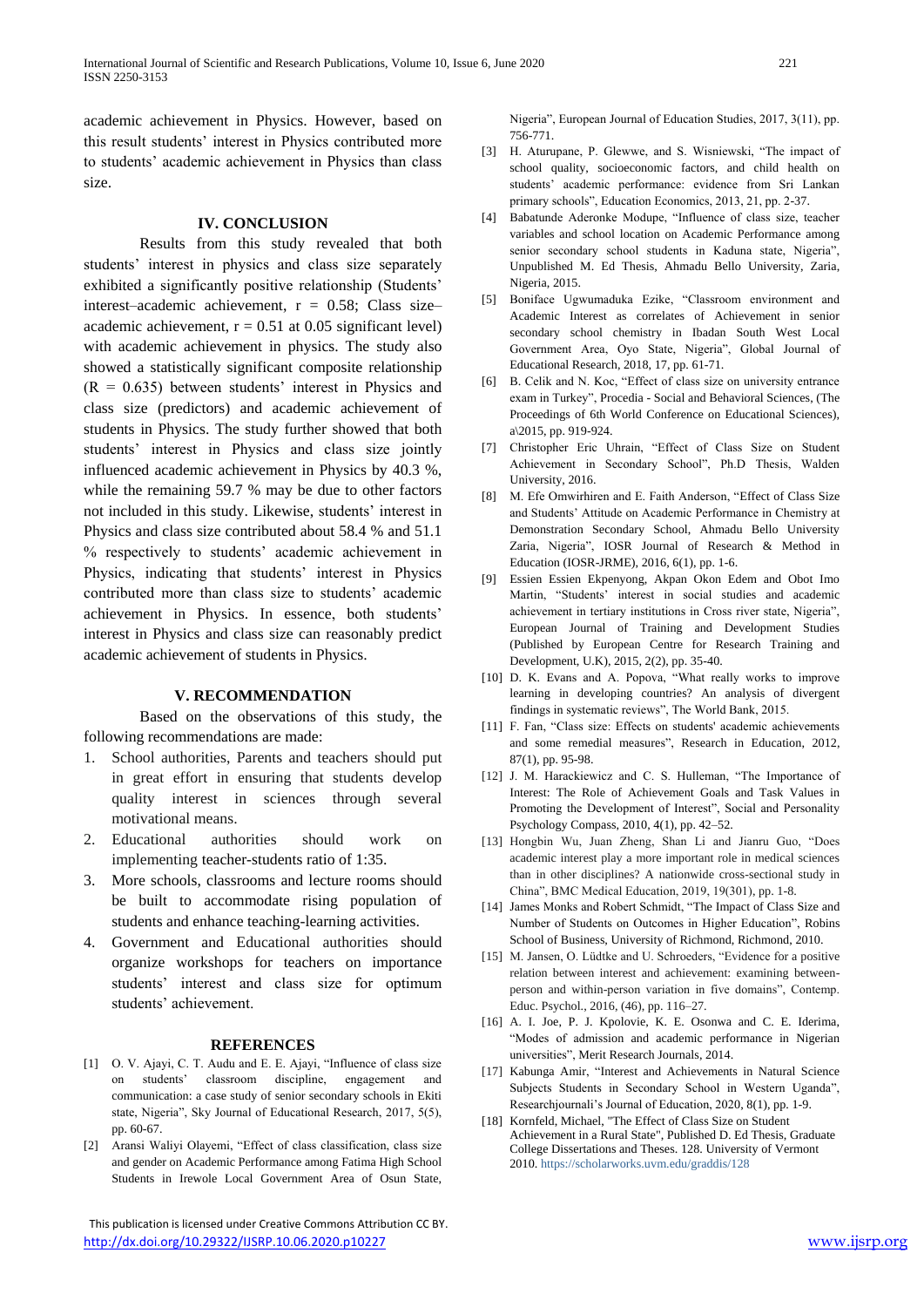academic achievement in Physics. However, based on this result students' interest in Physics contributed more to students' academic achievement in Physics than class size.

# **IV. CONCLUSION**

Results from this study revealed that both students' interest in physics and class size separately exhibited a significantly positive relationship (Students' interest–academic achievement,  $r = 0.58$ ; Class size– academic achievement,  $r = 0.51$  at 0.05 significant level) with academic achievement in physics. The study also showed a statistically significant composite relationship  $(R = 0.635)$  between students' interest in Physics and class size (predictors) and academic achievement of students in Physics. The study further showed that both students' interest in Physics and class size jointly influenced academic achievement in Physics by 40.3 %, while the remaining 59.7 % may be due to other factors not included in this study. Likewise, students' interest in Physics and class size contributed about 58.4 % and 51.1 % respectively to students' academic achievement in Physics, indicating that students' interest in Physics contributed more than class size to students' academic achievement in Physics. In essence, both students' interest in Physics and class size can reasonably predict academic achievement of students in Physics.

#### **V. RECOMMENDATION**

Based on the observations of this study, the following recommendations are made:

- 1. School authorities, Parents and teachers should put in great effort in ensuring that students develop quality interest in sciences through several motivational means.
- 2. Educational authorities should work on implementing teacher-students ratio of 1:35.
- 3. More schools, classrooms and lecture rooms should be built to accommodate rising population of students and enhance teaching-learning activities.
- 4. Government and Educational authorities should organize workshops for teachers on importance students' interest and class size for optimum students' achievement.

#### **REFERENCES**

- [1] O. V. Ajayi, C. T. Audu and E. E. Ajayi, "Influence of class size on students' classroom discipline, engagement and communication: a case study of senior secondary schools in Ekiti state, Nigeria", Sky Journal of Educational Research, 2017, 5(5), pp. 60-67.
- [2] Aransi Waliyi Olayemi, "Effect of class classification, class size and gender on Academic Performance among Fatima High School Students in Irewole Local Government Area of Osun State,

 This publication is licensed under Creative Commons Attribution CC BY. <http://dx.doi.org/10.29322/IJSRP.10.06.2020.p10227> [www.ijsrp.org](http://ijsrp.org/)

Nigeria", European Journal of Education Studies, 2017, 3(11), pp. 756-771.

- [3] H. Aturupane, P. Glewwe, and S. Wisniewski, "The impact of school quality, socioeconomic factors, and child health on students' academic performance: evidence from Sri Lankan primary schools", Education Economics, 2013, 21, pp. 2-37.
- [4] Babatunde Aderonke Modupe, "Influence of class size, teacher variables and school location on Academic Performance among senior secondary school students in Kaduna state, Nigeria", Unpublished M. Ed Thesis, Ahmadu Bello University, Zaria, Nigeria, 2015.
- [5] Boniface Ugwumaduka Ezike, "Classroom environment and Academic Interest as correlates of Achievement in senior secondary school chemistry in Ibadan South West Local Government Area, Oyo State, Nigeria", Global Journal of Educational Research, 2018, 17, pp. 61-71.
- [6] B. Celik and N. Koc, "Effect of class size on university entrance exam in Turkey", Procedia - Social and Behavioral Sciences, (The Proceedings of 6th World Conference on Educational Sciences), a\2015, pp. 919-924.
- [7] Christopher Eric Uhrain, "Effect of Class Size on Student Achievement in Secondary School", Ph.D Thesis, Walden University, 2016.
- [8] M. Efe Omwirhiren and E. Faith Anderson, "Effect of Class Size and Students' Attitude on Academic Performance in Chemistry at Demonstration Secondary School, Ahmadu Bello University Zaria, Nigeria", IOSR Journal of Research & Method in Education (IOSR-JRME), 2016, 6(1), pp. 1-6.
- [9] Essien Essien Ekpenyong, Akpan Okon Edem and Obot Imo Martin, "Students' interest in social studies and academic achievement in tertiary institutions in Cross river state, Nigeria", European Journal of Training and Development Studies (Published by European Centre for Research Training and Development, U.K), 2015, 2(2), pp. 35-40.
- [10] D. K. Evans and A. Popova, "What really works to improve learning in developing countries? An analysis of divergent findings in systematic reviews", The World Bank, 2015.
- [11] F. Fan, "Class size: Effects on students' academic achievements and some remedial measures", Research in Education, 2012, 87(1), pp. 95-98.
- [12] J. M. Harackiewicz and C. S. Hulleman, "The Importance of Interest: The Role of Achievement Goals and Task Values in Promoting the Development of Interest", Social and Personality Psychology Compass, 2010, 4(1), pp. 42–52.
- [13] Hongbin Wu, Juan Zheng, Shan Li and Jianru Guo, "Does academic interest play a more important role in medical sciences than in other disciplines? A nationwide cross-sectional study in China", BMC Medical Education, 2019, 19(301), pp. 1-8.
- [14] James Monks and Robert Schmidt, "The Impact of Class Size and Number of Students on Outcomes in Higher Education", Robins School of Business, University of Richmond, Richmond, 2010.
- [15] M. Jansen, O. Lüdtke and U. Schroeders, "Evidence for a positive relation between interest and achievement: examining betweenperson and within-person variation in five domains", Contemp. Educ. Psychol., 2016, (46), pp. 116–27.
- [16] A. I. Joe, P. J. Kpolovie, K. E. Osonwa and C. E. Iderima, "Modes of admission and academic performance in Nigerian universities", Merit Research Journals, 2014.
- [17] Kabunga Amir, "Interest and Achievements in Natural Science Subjects Students in Secondary School in Western Uganda", Researchjournali's Journal of Education, 2020, 8(1), pp. 1-9.
- [18] Kornfeld, Michael, "The Effect of Class Size on Student Achievement in a Rural State", Published D. Ed Thesis, Graduate College Dissertations and Theses. 128. University of Vermont 2010. https://scholarworks.uvm.edu/graddis/128